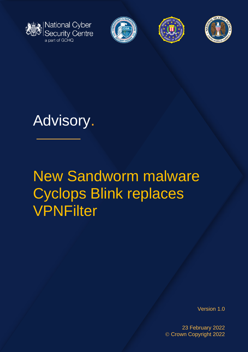







# Advisory.

# New Sandworm malware Cyclops Blink replaces **VPNFilter**

Version 1.0

23 February 2022 © Crown Copyright 2022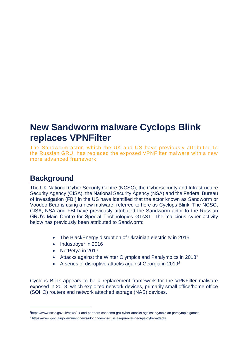## **New Sandworm malware Cyclops Blink replaces VPNFilter**

The Sandworm actor, which the UK and US have previously attributed to the Russian GRU, has replaced the exposed VPNFilter malware with a new more advanced framework.

## **Background**

The UK National Cyber Security Centre (NCSC), the Cybersecurity and Infrastructure Security Agency (CISA), the National Security Agency (NSA) and the Federal Bureau of Investigation (FBI) in the US have identified that the actor known as Sandworm or Voodoo Bear is using a new malware, referred to here as Cyclops Blink. The NCSC, CISA, NSA and FBI have previously attributed the Sandworm actor to the Russian GRU's Main Centre for Special Technologies GTsST. The malicious cyber activity below has previously been attributed to Sandworm:

- The BlackEnergy disruption of Ukrainian electricity in 2015
- Industroyer in 2016
- NotPetya in 2017
- Attacks against the Winter Olympics and Paralympics in 2018<sup>1</sup>
- A series of disruptive attacks against Georgia in 2019<sup>2</sup>

Cyclops Blink appears to be a replacement framework for the VPNFilter malware exposed in 2018, which exploited network devices, primarily small office/home office (SOHO) routers and network attached storage (NAS) devices.

<sup>1</sup>https://www.ncsc.gov.uk/news/uk-and-partners-condemn-gru-cyber-attacks-against-olympic-an-paralympic-games

<sup>2</sup> https://www.gov.uk/government/news/uk-condemns-russias-gru-over-georgia-cyber-attacks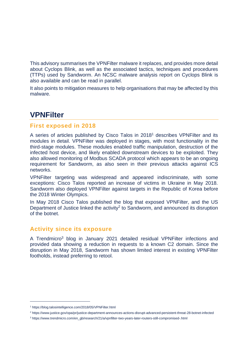This advisory summarises the VPNFilter malware it replaces, and provides more detail about Cyclops Blink, as well as the associated tactics, techniques and procedures (TTPs) used by Sandworm. An NCSC malware analysis report on Cyclops Blink is also available and can be read in parallel.

It also points to mitigation measures to help organisations that may be affected by this malware.

### **VPNFilter**

#### **First exposed in 2018**

A series of articles published by Cisco Talos in 2018<sup>1</sup> describes VPNFilter and its modules in detail. VPNFilter was deployed in stages, with most functionality in the third-stage modules. These modules enabled traffic manipulation, destruction of the infected host device, and likely enabled downstream devices to be exploited. They also allowed monitoring of Modbus SCADA protocol which appears to be an ongoing requirement for Sandworm, as also seen in their previous attacks against ICS networks.

VPNFilter targeting was widespread and appeared indiscriminate, with some exceptions: Cisco Talos reported an increase of victims in Ukraine in May 2018. Sandworm also deployed VPNFilter against targets in the Republic of Korea before the 2018 Winter Olympics.

In May 2018 Cisco Talos published the blog that exposed VPNFilter, and the US Department of Justice linked the activity<sup>2</sup> to Sandworm, and announced its disruption of the botnet.

#### **Activity since its exposure**

A Trendmicro<sup>3</sup> blog in January 2021 detailed residual VPNFilter infections and provided data showing a reduction in requests to a known C2 domain. Since the disruption in May 2018, Sandworm has shown limited interest in existing VPNFilter footholds, instead preferring to retool.

<sup>1</sup> https://blog.talosintelligence.com/2018/05/VPNFilter.html

<sup>2</sup> https://www.justice.gov/opa/pr/justice-department-announces-actions-disrupt-advanced-persistent-threat-28-botnet-infected

<sup>3</sup> https://www.trendmicro.com/en\_gb/research/21/a/vpnfilter-two-years-later-routers-still-compromised-.html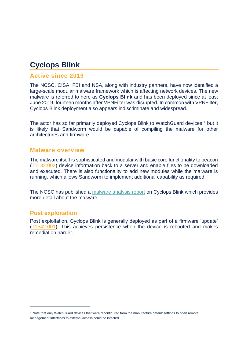## **Cyclops Blink**

#### **Active since 2019**

The NCSC, CISA, FBI and NSA, along with industry partners, have now identified a large-scale modular malware framework which is affecting network devices. The new malware is referred to here as **Cyclops Blink** and has been deployed since at least June 2019, fourteen months after VPNFilter was disrupted. In common with VPNFilter, Cyclops Blink deployment also appears indiscriminate and widespread.

The actor has so far primarily deployed Cyclops Blink to WatchGuard devices, <sup>1</sup> but it is likely that Sandworm would be capable of compiling the malware for other architectures and firmware.

#### **Malware overview**

The malware itself is sophisticated and modular with basic core functionality to beacon [\(T1132.002\)](https://attack.mitre.org/techniques/T1132/002) device information back to a server and enable files to be downloaded and executed. There is also functionality to add new modules while the malware is running, which allows Sandworm to implement additional capability as required.

The NCSC has published a [malware analysis report](https://www.ncsc.gov.uk/files/Cyclops-Blink-Malware-Analysis-Report.pdf) on Cyclops Blink which provides more detail about the malware.

#### **Post exploitation**

Post exploitation, Cyclops Blink is generally deployed as part of a firmware 'update' [\(T1542.001\)](https://attack.mitre.org/techniques/T1542/001/). This achieves persistence when the device is rebooted and makes remediation harder.

<sup>1</sup> Note that only WatchGuard devices that were reconfigured from the manufacture default settings to open remote management interfaces to external access could be infected.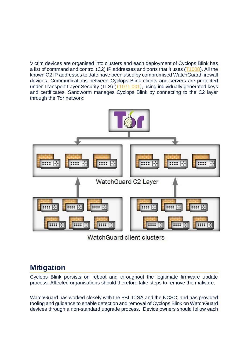Victim devices are organised into clusters and each deployment of Cyclops Blink has a list of command and control (C2) IP addresses and ports that it uses [\(T1008\)](https://attack.mitre.org/techniques/T1008). All the known C2 IP addresses to date have been used by compromised WatchGuard firewall devices. Communications between Cyclops Blink clients and servers are protected under Transport Layer Security (TLS) [\(T1071.001\)](https://attack.mitre.org/techniques/T1071/001), using individually generated keys and certificates. Sandworm manages Cyclops Blink by connecting to the C2 layer through the Tor network:



WatchGuard client clusters

## **Mitigation**

Cyclops Blink persists on reboot and throughout the legitimate firmware update process. Affected organisations should therefore take steps to remove the malware.

WatchGuard has worked closely with the FBI, CISA and the NCSC, and has provided tooling and guidance to enable detection and removal of Cyclops Blink on WatchGuard devices through a non-standard upgrade process. Device owners should follow each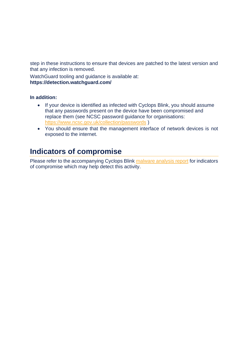step in these instructions to ensure that devices are patched to the latest version and that any infection is removed.

WatchGuard tooling and guidance is available at: **https://detection.watchguard.com/**

#### **In addition:**

- If your device is identified as infected with Cyclops Blink, you should assume that any passwords present on the device have been compromised and replace them (see NCSC password guidance for organisations: <https://www.ncsc.gov.uk/collection/passwords> )
- You should ensure that the management interface of network devices is not exposed to the internet.

## **Indicators of compromise**

Please refer to the accompanying Cyclops Blink [malware analysis report](https://www.ncsc.gov.uk/files/Cyclops-Blink-Malware-Analysis-Report.pdf) for indicators of compromise which may help detect this activity.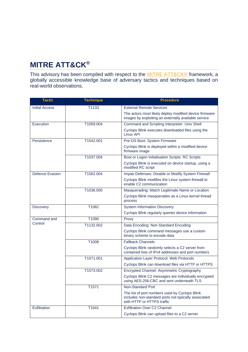## **MITRE ATT&CK®**

This advisory has been compiled with respect to the [MITRE ATT&CK®](https://attack.mitre.org/) framework, a globally accessible knowledge base of adversary tactics and techniques based on real-world observations.

| <b>Tactic</b>          | <b>Technique</b> | <b>Procedure</b>                                                                                                                     |
|------------------------|------------------|--------------------------------------------------------------------------------------------------------------------------------------|
| <b>Initial Access</b>  | T1133            | <b>External Remote Services</b>                                                                                                      |
|                        |                  | The actors most likely deploy modified device firmware<br>images by exploiting an externally available service                       |
| Execution              | T1059.004        | Command and Scripting Interpreter: Unix Shell                                                                                        |
|                        |                  | Cyclops Blink executes downloaded files using the<br>Linux API                                                                       |
| Persistence            | T1542.001        | Pre-OS Boot: System Firmware                                                                                                         |
|                        |                  | Cyclops Blink is deployed within a modified device<br>firmware image                                                                 |
|                        | T1037.004        | Boot or Logon Initialisation Scripts: RC Scripts                                                                                     |
|                        |                  | Cyclops Blink is executed on device startup, using a<br>modified RC script                                                           |
| Defence Evasion        | T1562.004        | Impair Defenses: Disable or Modify System Firewall                                                                                   |
|                        |                  | Cyclops Blink modifies the Linux system firewall to<br>enable C2 communication                                                       |
|                        | T1036.005        | Masquerading: Match Legitimate Name or Location                                                                                      |
|                        |                  | Cyclops Blink masquerades as a Linux kernel thread<br>process                                                                        |
| Discovery              | T1082            | <b>System Information Discovery</b>                                                                                                  |
|                        |                  | Cyclops Blink regularly queries device information                                                                                   |
| Command and<br>Control | T1090            | Proxy                                                                                                                                |
|                        | T1132.002        | Data Encoding: Non-Standard Encoding                                                                                                 |
|                        |                  | Cyclops Blink command messages use a custom<br>binary scheme to encode data                                                          |
|                        | T1008            | <b>Fallback Channels</b>                                                                                                             |
|                        |                  | Cyclops Blink randomly selects a C2 server from<br>contained lists of IPv4 addresses and port numbers                                |
|                        | T1071.001        | Application Layer Protocol: Web Protocols                                                                                            |
|                        |                  | Cyclops Blink can download files via HTTP or HTTPS                                                                                   |
|                        | T1573.002        | Encrypted Channel: Asymmetric Cryptography                                                                                           |
|                        |                  | Cyclops Blink C2 messages are individually encrypted<br>using AES-256-CBC and sent underneath TLS                                    |
|                        | T1571            | Non-Standard Port                                                                                                                    |
|                        |                  | The list of port numbers used by Cyclops Blink<br>includes non-standard ports not typically associated<br>with HTTP or HTTPS traffic |
| Exfiltration           | T1041            | <b>Exfiltration Over C2 Channel</b>                                                                                                  |
|                        |                  | Cyclops Blink can upload files to a C2 server                                                                                        |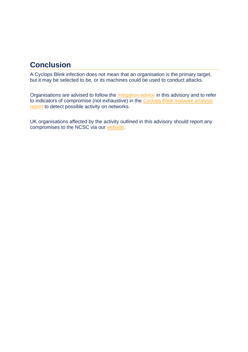## **Conclusion**

A Cyclops Blink infection does not mean that an organisation is the primary target, but it may be selected to be, or its machines could be used to conduct attacks.

Organisations are advised to follow the [mitigation advice](https://detection.watchguard.com/) in this advisory and to refer to indicators of compromise (not exhaustive) in the [Cyclops Blink malware analysis](https://www.ncsc.gov.uk/files/Cyclops-Blink-Malware-Analysis-Report.pdf)  [report](https://www.ncsc.gov.uk/files/Cyclops-Blink-Malware-Analysis-Report.pdf) to detect possible activity on networks.

UK organisations affected by the activity outlined in this advisory should report any compromises to the NCSC via our [website.](https://report.ncsc.gov.uk/)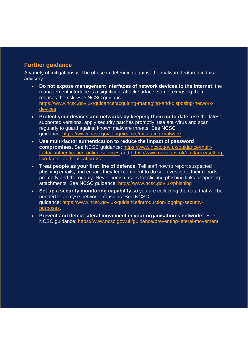#### **Further guidance**

A variety of mitigations will be of use in defending against the malware featured in this advisory.

- **Do not expose management interfaces of network devices to the internet**: the management interface is a significant attack surface, so not exposing them reduces the risk. See NCSC guidance: [https://www.ncsc.gov.uk/guidance/acquiring-managing-and-disposing-network](https://www.ncsc.gov.uk/guidance/acquiring-managing-and-disposing-network-devices)[devices](https://www.ncsc.gov.uk/guidance/acquiring-managing-and-disposing-network-devices)
- **Protect your devices and networks by keeping them up to date**: use the latest supported versions, apply security patches promptly, use anti-virus and scan regularly to guard against known malware threats. See NCSC guidance: <https://www.ncsc.gov.uk/guidance/mitigating-malware>
- **Use multi-factor authentication to reduce the impact of password compromises**. See NCSC guidance: [https://www.ncsc.gov.uk/guidance/multi](https://www.ncsc.gov.uk/guidance/multi-factor-authentication-online-services)[factor-authentication-online-services](https://www.ncsc.gov.uk/guidance/multi-factor-authentication-online-services) and [https://www.ncsc.gov.uk/guidance/setting](https://www.ncsc.gov.uk/guidance/setting-two-factor-authentication-2fa)[two-factor-authentication-2fa](https://www.ncsc.gov.uk/guidance/setting-two-factor-authentication-2fa)
- **Treat people as your first line of defence**. Tell staff how to report suspected phishing emails, and ensure they feel confident to do so. Investigate their reports promptly and thoroughly. Never punish users for clicking phishing links or opening attachments. See NCSC guidance: <https://www.ncsc.gov.uk/phishing>
- **Set up a security monitoring capability** so you are collecting the data that will be needed to analyse network intrusions. See NCSC guidance: [https://www.ncsc.gov.uk/guidance/introduction-logging-security](https://www.ncsc.gov.uk/guidance/introduction-logging-security-purposes)[purposes.](https://www.ncsc.gov.uk/guidance/introduction-logging-security-purposes)
- **Prevent and detect lateral movement in your organisation's networks**. See NCSC guidance: <https://www.ncsc.gov.uk/guidance/preventing-lateral-movement>